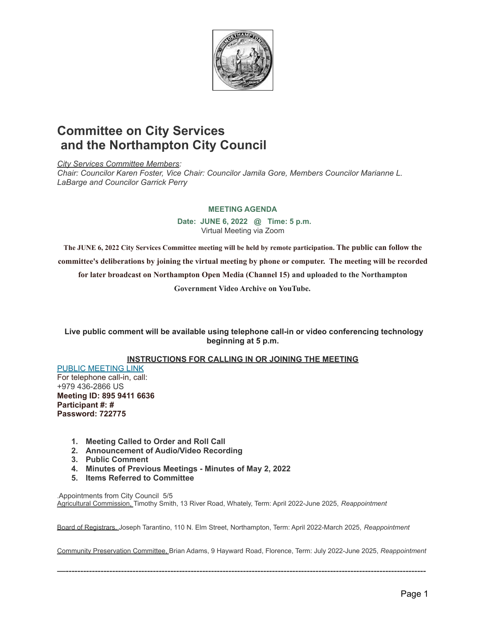

## **Committee on City Services and the Northampton City Council**

*City Services Committee Members: Chair: Councilor Karen Foster, Vice Chair: Councilor Jamila Gore, Members Councilor Marianne L. LaBarge and Councilor Garrick Perry*

## **MEETING AGENDA**

**Date: JUNE 6, 2022 @ Time: 5 p.m.** Virtual Meeting via Zoom

**The JUNE 6, 2022 City Services Committee meeting will be held by remote participation. The public can follow the committee's deliberations by joining the virtual meeting by phone or computer. The meeting will be recorded for later broadcast on Northampton Open Media (Channel 15) and uploaded to the Northampton Government Video Archive on YouTube.**

**Live public comment will be available using telephone call-in or video conferencing technology beginning at 5 p.m.**

## **INSTRUCTIONS FOR CALLING IN OR JOINING THE MEETING**

PUBLIC [MEETING](https://us06web.zoom.us/j/89594116636?pwd=czBkeXVLZ29jSFNqUi9pNjBJTVRGZz09) LINK For telephone call-in, call: +979 436-2866 US **Meeting ID: 895 9411 6636 Participant #: # Password: 722775**

- **1. Meeting Called to Order and Roll Call**
- **2. Announcement of Audio/Video Recording**
- **3. Public Comment**
- **4. Minutes of Previous Meetings - Minutes of May 2, 2022**
- **5. Items Referred to Committee**

.Appointments from City Council 5/5 Agricultural Commission, Timothy Smith, 13 River Road, Whately, Term: April 2022-June 2025, *Reappointment*

Board of Registrars, Joseph Tarantino, 110 N. Elm Street, Northampton, Term: April 2022-March 2025, *Reappointment*

Community Preservation Committee, Brian Adams, 9 Hayward Road, Florence, Term: July 2022-June 2025, *Reappointment*

—----------------------------------------------------------------------------------------------------------------------------